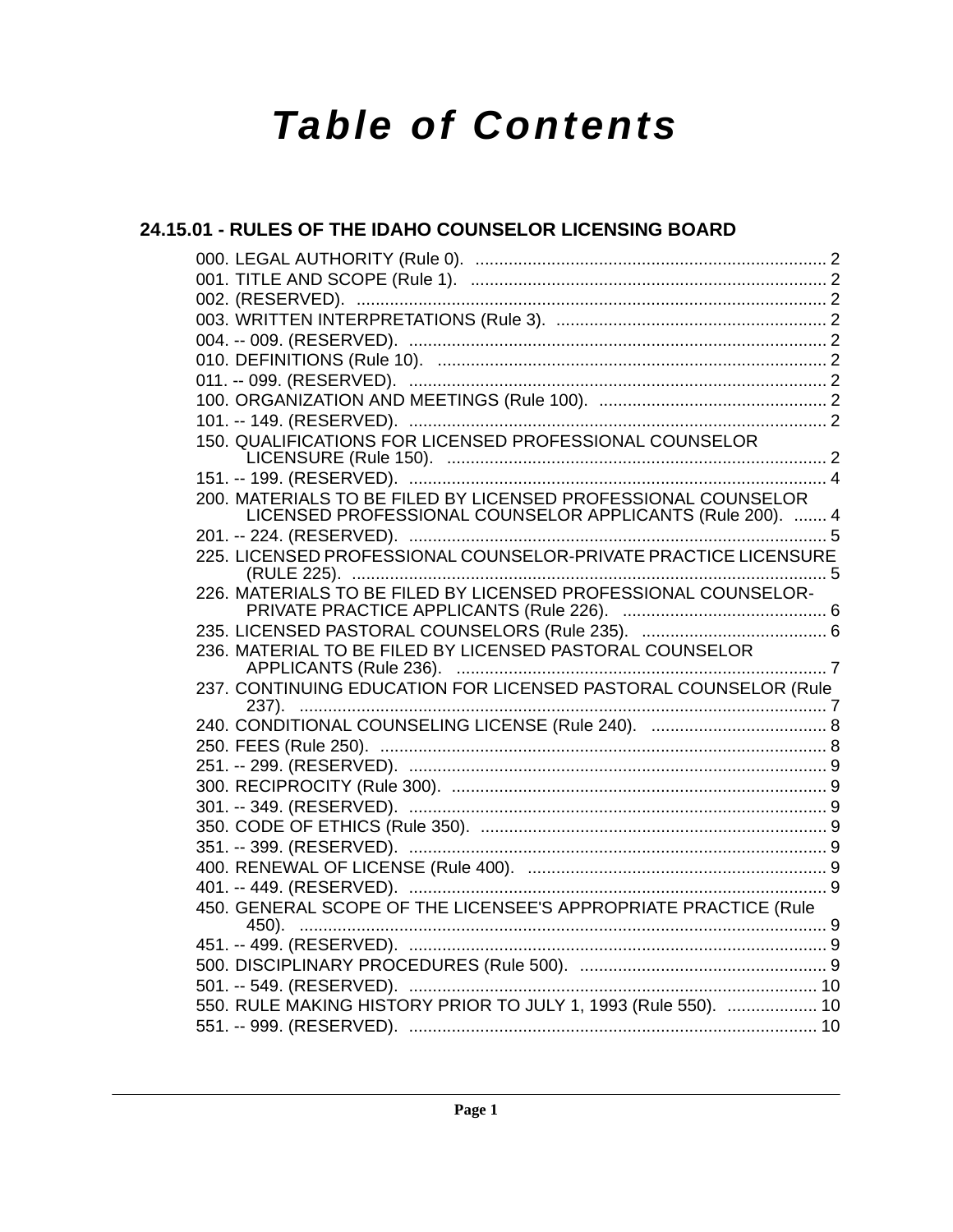# **Table of Contents**

### 24.15.01 - RULES OF THE IDAHO COUNSELOR LICENSING BOARD 150. QUALIFICATIONS FOR LICENSED PROFESSIONAL COUNSELOR 200. MATERIALS TO BE FILED BY LICENSED PROFESSIONAL COUNSELOR LICENSED PROFESSIONAL COUNSELOR APPLICANTS (Rule 200). ....... 4 225. LICENSED PROFESSIONAL COUNSELOR-PRIVATE PRACTICE LICENSURE 226. MATERIALS TO BE FILED BY LICENSED PROFESSIONAL COUNSELOR-236. MATERIAL TO BE FILED BY LICENSED PASTORAL COUNSELOR 237. CONTINUING EDUCATION FOR LICENSED PASTORAL COUNSELOR (Rule 450. GENERAL SCOPE OF THE LICENSEE'S APPROPRIATE PRACTICE (Rule 550. RULE MAKING HISTORY PRIOR TO JULY 1, 1993 (Rule 550). ................... 10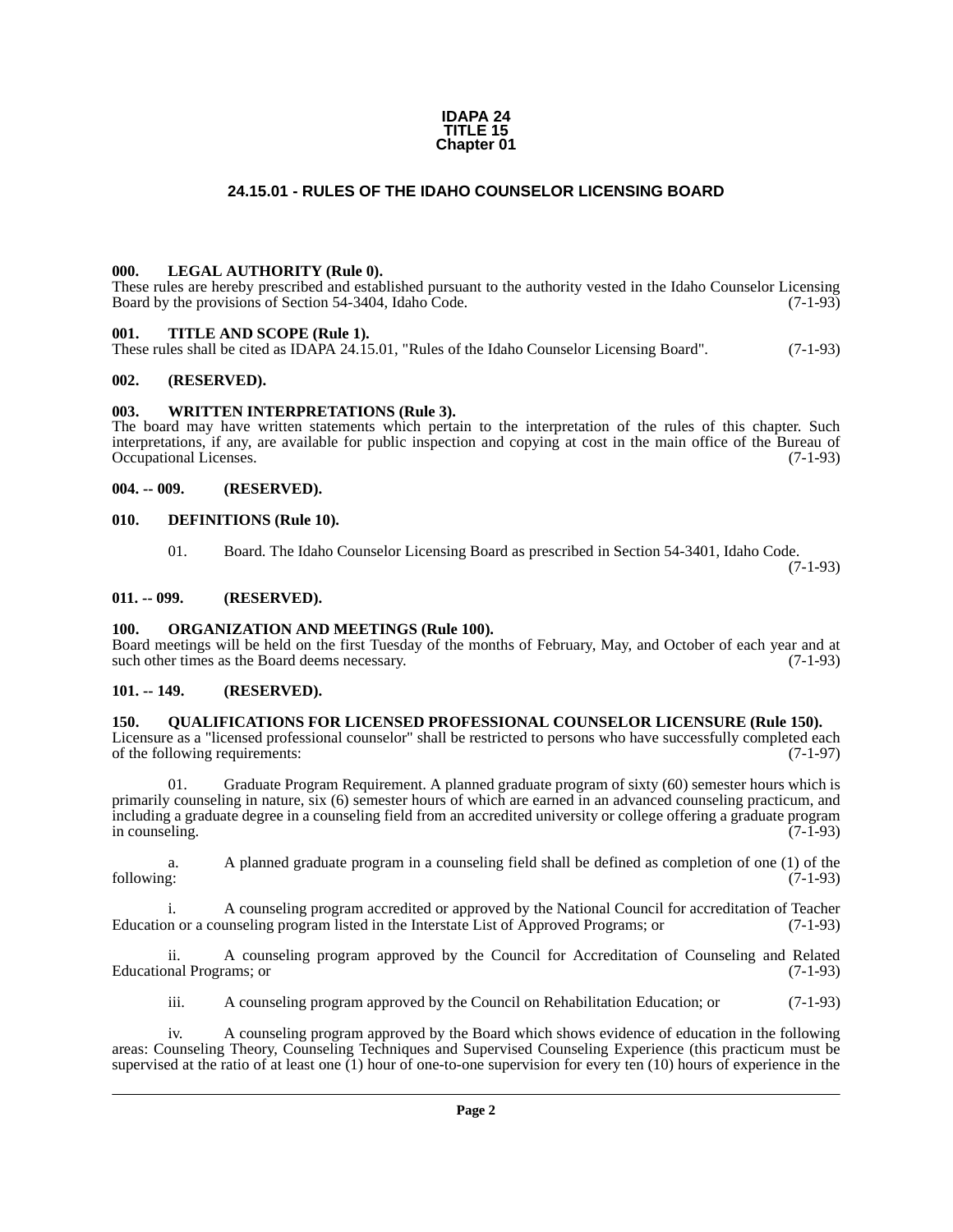#### **IDAPA 24 TITLE 15 Chapter 01**

#### **24.15.01 - RULES OF THE IDAHO COUNSELOR LICENSING BOARD**

#### <span id="page-1-1"></span><span id="page-1-0"></span>**000. LEGAL AUTHORITY (Rule 0).**

These rules are hereby prescribed and established pursuant to the authority vested in the Idaho Counselor Licensing Board by the provisions of Section 54-3404, Idaho Code. (7-1-93)

#### <span id="page-1-2"></span>**001. TITLE AND SCOPE (Rule 1).**

These rules shall be cited as IDAPA 24.15.01, "Rules of the Idaho Counselor Licensing Board". (7-1-93)

#### <span id="page-1-3"></span>**002. (RESERVED).**

#### <span id="page-1-4"></span>**003. WRITTEN INTERPRETATIONS (Rule 3).**

The board may have written statements which pertain to the interpretation of the rules of this chapter. Such interpretations, if any, are available for public inspection and copying at cost in the main office of the Bureau of Occupational Licenses. (7-1-93) Occupational Licenses.

#### <span id="page-1-5"></span>**004. -- 009. (RESERVED).**

#### <span id="page-1-6"></span>**010. DEFINITIONS (Rule 10).**

01. Board. The Idaho Counselor Licensing Board as prescribed in Section 54-3401, Idaho Code.

(7-1-93)

#### <span id="page-1-7"></span>**011. -- 099. (RESERVED).**

#### <span id="page-1-8"></span>**100. ORGANIZATION AND MEETINGS (Rule 100).**

Board meetings will be held on the first Tuesday of the months of February, May, and October of each year and at such other times as the Board deems necessary.

#### <span id="page-1-9"></span>**101. -- 149. (RESERVED).**

#### <span id="page-1-10"></span>**150. QUALIFICATIONS FOR LICENSED PROFESSIONAL COUNSELOR LICENSURE (Rule 150).**

Licensure as a "licensed professional counselor" shall be restricted to persons who have successfully completed each of the following requirements: (7-1-97) of the following requirements:

Graduate Program Requirement. A planned graduate program of sixty (60) semester hours which is primarily counseling in nature, six (6) semester hours of which are earned in an advanced counseling practicum, and including a graduate degree in a counseling field from an accredited university or college offering a graduate program in counseling.

a. A planned graduate program in a counseling field shall be defined as completion of one (1) of the following: (7-1-93)

i. A counseling program accredited or approved by the National Council for accreditation of Teacher Education or a counseling program listed in the Interstate List of Approved Programs; or

ii. A counseling program approved by the Council for Accreditation of Counseling and Related Educational Programs; or (7-1-93)

iii. A counseling program approved by the Council on Rehabilitation Education; or (7-1-93)

iv. A counseling program approved by the Board which shows evidence of education in the following areas: Counseling Theory, Counseling Techniques and Supervised Counseling Experience (this practicum must be supervised at the ratio of at least one (1) hour of one-to-one supervision for every ten (10) hours of experience in the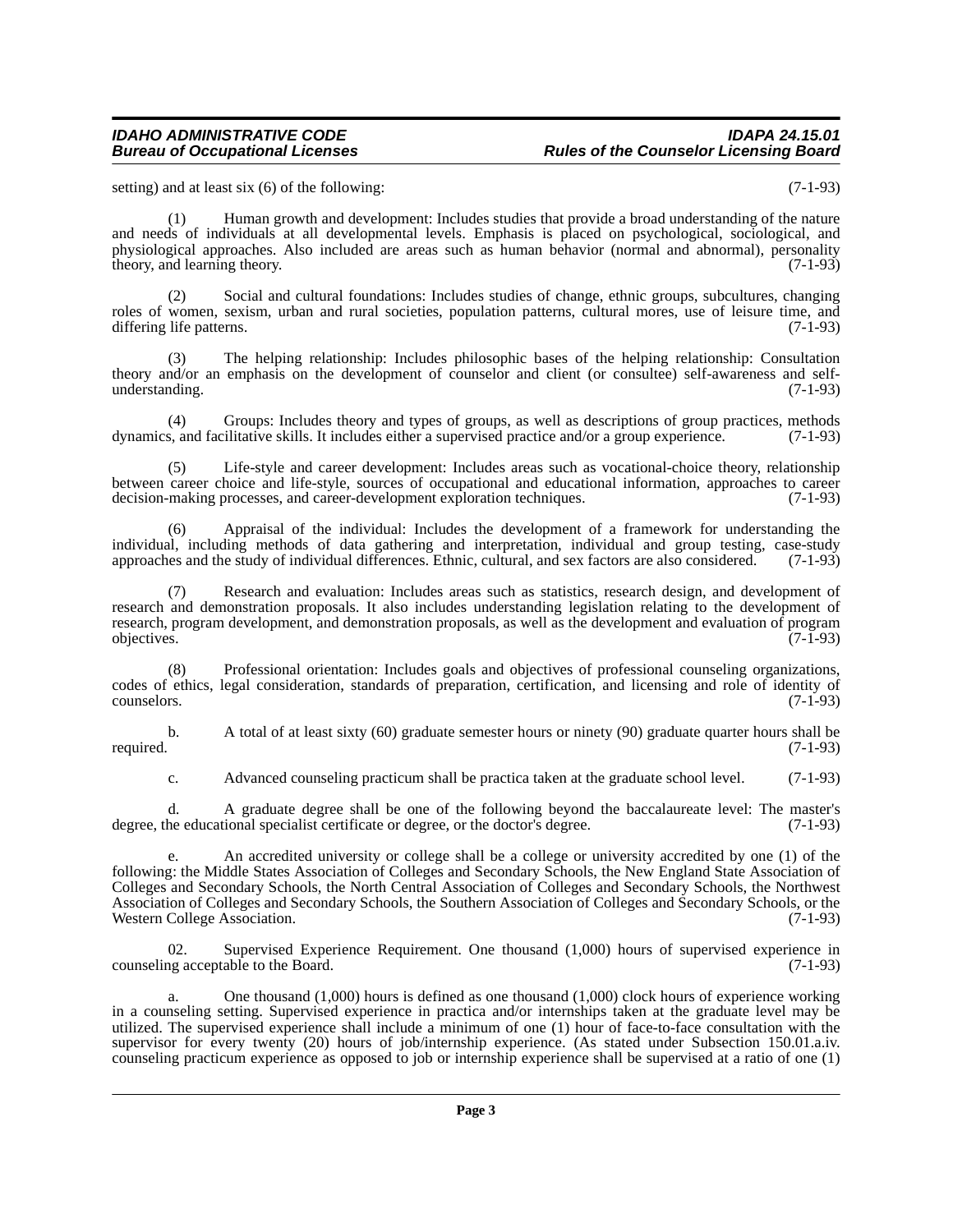#### *IDAHO ADMINISTRATIVE CODE IDAPA 24.15.01* **Rules of the Counselor Licensing Board**

setting) and at least six (6) of the following: (7-1-93)

(1) Human growth and development: Includes studies that provide a broad understanding of the nature and needs of individuals at all developmental levels. Emphasis is placed on psychological, sociological, and physiological approaches. Also included are areas such as human behavior (normal and abnormal), personality theory, and learning theory. (7-1-93) theory, and learning theory.

(2) Social and cultural foundations: Includes studies of change, ethnic groups, subcultures, changing roles of women, sexism, urban and rural societies, population patterns, cultural mores, use of leisure time, and differing life patterns. (7-1-93)

(3) The helping relationship: Includes philosophic bases of the helping relationship: Consultation theory and/or an emphasis on the development of counselor and client (or consultee) self-awareness and selfunderstanding.

(4) Groups: Includes theory and types of groups, as well as descriptions of group practices, methods s, and facilitative skills. It includes either a supervised practice and/or a group experience. (7-1-93) dynamics, and facilitative skills. It includes either a supervised practice and/or a group experience.

(5) Life-style and career development: Includes areas such as vocational-choice theory, relationship between career choice and life-style, sources of occupational and educational information, approaches to career decision-making processes, and career-development exploration techniques. (7-1-93) decision-making processes, and career-development exploration techniques.

(6) Appraisal of the individual: Includes the development of a framework for understanding the individual, including methods of data gathering and interpretation, individual and group testing, case-study approaches and the study of individual differences. Ethnic, cultural, and sex factors are also considered. (7-1-93)

(7) Research and evaluation: Includes areas such as statistics, research design, and development of research and demonstration proposals. It also includes understanding legislation relating to the development of research, program development, and demonstration proposals, as well as the development and evaluation of program objectives. (7-1-93) objectives. (7-1-93)

(8) Professional orientation: Includes goals and objectives of professional counseling organizations, codes of ethics, legal consideration, standards of preparation, certification, and licensing and role of identity of counselors. (7-1-93)

b. A total of at least sixty (60) graduate semester hours or ninety (90) graduate quarter hours shall be required. (7-1-93)

c. Advanced counseling practicum shall be practica taken at the graduate school level. (7-1-93)

d. A graduate degree shall be one of the following beyond the baccalaureate level: The master's degree, the educational specialist certificate or degree, or the doctor's degree.

e. An accredited university or college shall be a college or university accredited by one (1) of the following: the Middle States Association of Colleges and Secondary Schools, the New England State Association of Colleges and Secondary Schools, the North Central Association of Colleges and Secondary Schools, the Northwest Association of Colleges and Secondary Schools, the Southern Association of Colleges and Secondary Schools, or the Western College Association. (7-1-93)

02. Supervised Experience Requirement. One thousand  $(1,000)$  hours of supervised experience in  $(7-1-93)$ counseling acceptable to the Board.

a. One thousand (1,000) hours is defined as one thousand (1,000) clock hours of experience working in a counseling setting. Supervised experience in practica and/or internships taken at the graduate level may be utilized. The supervised experience shall include a minimum of one (1) hour of face-to-face consultation with the supervisor for every twenty (20) hours of job/internship experience. (As stated under Subsection 150.01.a.iv. counseling practicum experience as opposed to job or internship experience shall be supervised at a ratio of one (1)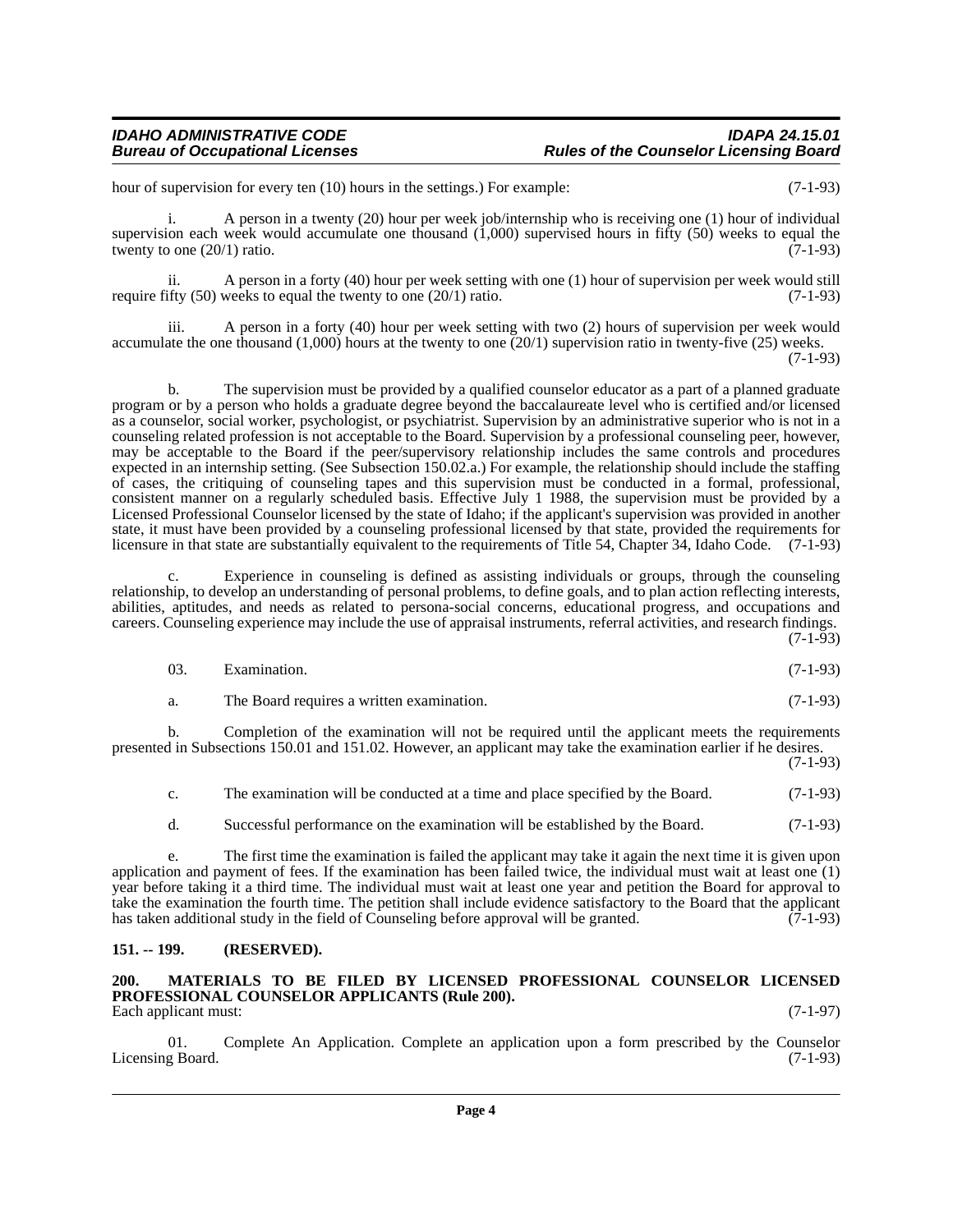hour of supervision for every ten (10) hours in the settings.) For example: (7-1-93)

i. A person in a twenty (20) hour per week job/internship who is receiving one (1) hour of individual supervision each week would accumulate one thousand (1,000) supervised hours in fifty (50) weeks to equal the twenty to one  $(20/1)$  ratio.  $(7-1-93)$ 

ii. A person in a forty (40) hour per week setting with one (1) hour of supervision per week would still require fifty (50) weeks to equal the twenty to one  $(20/1)$  ratio. (7-1-93)

iii. A person in a forty (40) hour per week setting with two (2) hours of supervision per week would accumulate the one thousand (1,000) hours at the twenty to one (20/1) supervision ratio in twenty-five (25) weeks. (7-1-93)

b. The supervision must be provided by a qualified counselor educator as a part of a planned graduate program or by a person who holds a graduate degree beyond the baccalaureate level who is certified and/or licensed as a counselor, social worker, psychologist, or psychiatrist. Supervision by an administrative superior who is not in a counseling related profession is not acceptable to the Board. Supervision by a professional counseling peer, however, may be acceptable to the Board if the peer/supervisory relationship includes the same controls and procedures expected in an internship setting. (See Subsection 150.02.a.) For example, the relationship should include the staffing of cases, the critiquing of counseling tapes and this supervision must be conducted in a formal, professional, consistent manner on a regularly scheduled basis. Effective July 1 1988, the supervision must be provided by a Licensed Professional Counselor licensed by the state of Idaho; if the applicant's supervision was provided in another state, it must have been provided by a counseling professional licensed by that state, provided the requirements for licensure in that state are substantially equivalent to the requirements of Title 54, Chapter 34, Idaho Code. (7-1-93)

c. Experience in counseling is defined as assisting individuals or groups, through the counseling relationship, to develop an understanding of personal problems, to define goals, and to plan action reflecting interests, abilities, aptitudes, and needs as related to persona-social concerns, educational progress, and occupations and careers. Counseling experience may include the use of appraisal instruments, referral activities, and research findings.

 $(7-1-93)$ 

| - 03. | Examination. | $(7-1-93)$ |  |  |
|-------|--------------|------------|--|--|
|-------|--------------|------------|--|--|

a. The Board requires a written examination. (7-1-93)

b. Completion of the examination will not be required until the applicant meets the requirements presented in Subsections 150.01 and 151.02. However, an applicant may take the examination earlier if he desires. (7-1-93)

c. The examination will be conducted at a time and place specified by the Board. (7-1-93)

d. Successful performance on the examination will be established by the Board. (7-1-93)

e. The first time the examination is failed the applicant may take it again the next time it is given upon application and payment of fees. If the examination has been failed twice, the individual must wait at least one (1) year before taking it a third time. The individual must wait at least one year and petition the Board for approval to take the examination the fourth time. The petition shall include evidence satisfactory to the Board that the applicant has taken additional study in the field of Counseling before approval will be granted. (7-1-93)

#### <span id="page-3-0"></span>**151. -- 199. (RESERVED).**

#### <span id="page-3-1"></span>**200. MATERIALS TO BE FILED BY LICENSED PROFESSIONAL COUNSELOR LICENSED PROFESSIONAL COUNSELOR APPLICANTS (Rule 200).** Each applicant must: (7-1-97)

01. Complete An Application. Complete an application upon a form prescribed by the Counselor  $(7-1-93)$ Licensing Board.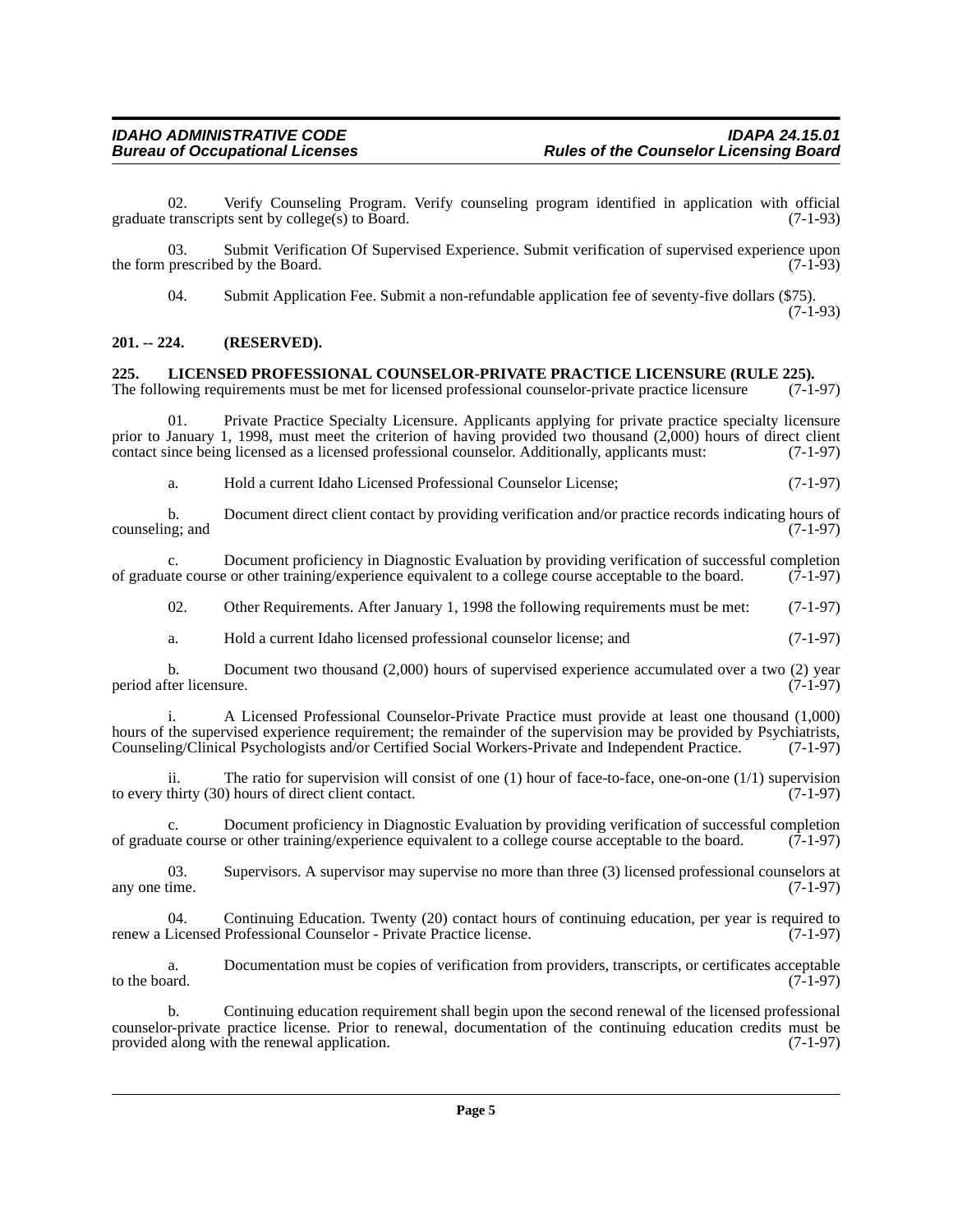02. Verify Counseling Program. Verify counseling program identified in application with official transcripts sent by college(s) to Board. (7-1-93) graduate transcripts sent by college $(s)$  to Board.

03. Submit Verification Of Supervised Experience. Submit verification of supervised experience upon the form prescribed by the Board. (7-1-93)

04. Submit Application Fee. Submit a non-refundable application fee of seventy-five dollars (\$75).

(7-1-93)

#### <span id="page-4-0"></span>**201. -- 224. (RESERVED).**

## <span id="page-4-1"></span>**225. LICENSED PROFESSIONAL COUNSELOR-PRIVATE PRACTICE LICENSURE (RULE 225).**<br>The following requirements must be met for licensed professional counselor-private practice licensure (7-1-97)

The following requirements must be met for licensed professional counselor-private practice licensure

01. Private Practice Specialty Licensure. Applicants applying for private practice specialty licensure prior to January 1, 1998, must meet the criterion of having provided two thousand (2,000) hours of direct client contact since being licensed as a licensed professional counselor. Additionally, applicants must: (7-1-97) contact since being licensed as a licensed professional counselor. Additionally, applicants must:

a. Hold a current Idaho Licensed Professional Counselor License; (7-1-97)

b. Document direct client contact by providing verification and/or practice records indicating hours of  $(7-1-97)$ counseling; and

c. Document proficiency in Diagnostic Evaluation by providing verification of successful completion ate course or other training/experience equivalent to a college course acceptable to the board. (7-1-97) of graduate course or other training/experience equivalent to a college course acceptable to the board.

02. Other Requirements. After January 1, 1998 the following requirements must be met: (7-1-97)

a. Hold a current Idaho licensed professional counselor license; and (7-1-97)

b. Document two thousand (2,000) hours of supervised experience accumulated over a two (2) year iter licensure. (7-1-97) period after licensure.

i. A Licensed Professional Counselor-Private Practice must provide at least one thousand (1,000) hours of the supervised experience requirement; the remainder of the supervision may be provided by Psychiatrists, Counseling/Clinical Psychologists and/or Certified Social Workers-Private and Independent Practice. (7-1-97)

ii. The ratio for supervision will consist of one (1) hour of face-to-face, one-on-one (1/1) supervision thirty (30) hours of direct client contact.  $(7-1-97)$ to every thirty  $(30)$  hours of direct client contact.

c. Document proficiency in Diagnostic Evaluation by providing verification of successful completion of graduate course or other training/experience equivalent to a college course acceptable to the board. (7-1-97)

03. Supervisors. A supervisor may supervise no more than three  $(3)$  licensed professional counselors at time.  $(7-1-97)$ any one time.

04. Continuing Education. Twenty (20) contact hours of continuing education, per year is required to renew a Licensed Professional Counselor - Private Practice license. (7-1-97)

a. Documentation must be copies of verification from providers, transcripts, or certificates acceptable to the board.  $(7-1-97)$ 

b. Continuing education requirement shall begin upon the second renewal of the licensed professional counselor-private practice license. Prior to renewal, documentation of the continuing education credits must be provided along with the renewal application.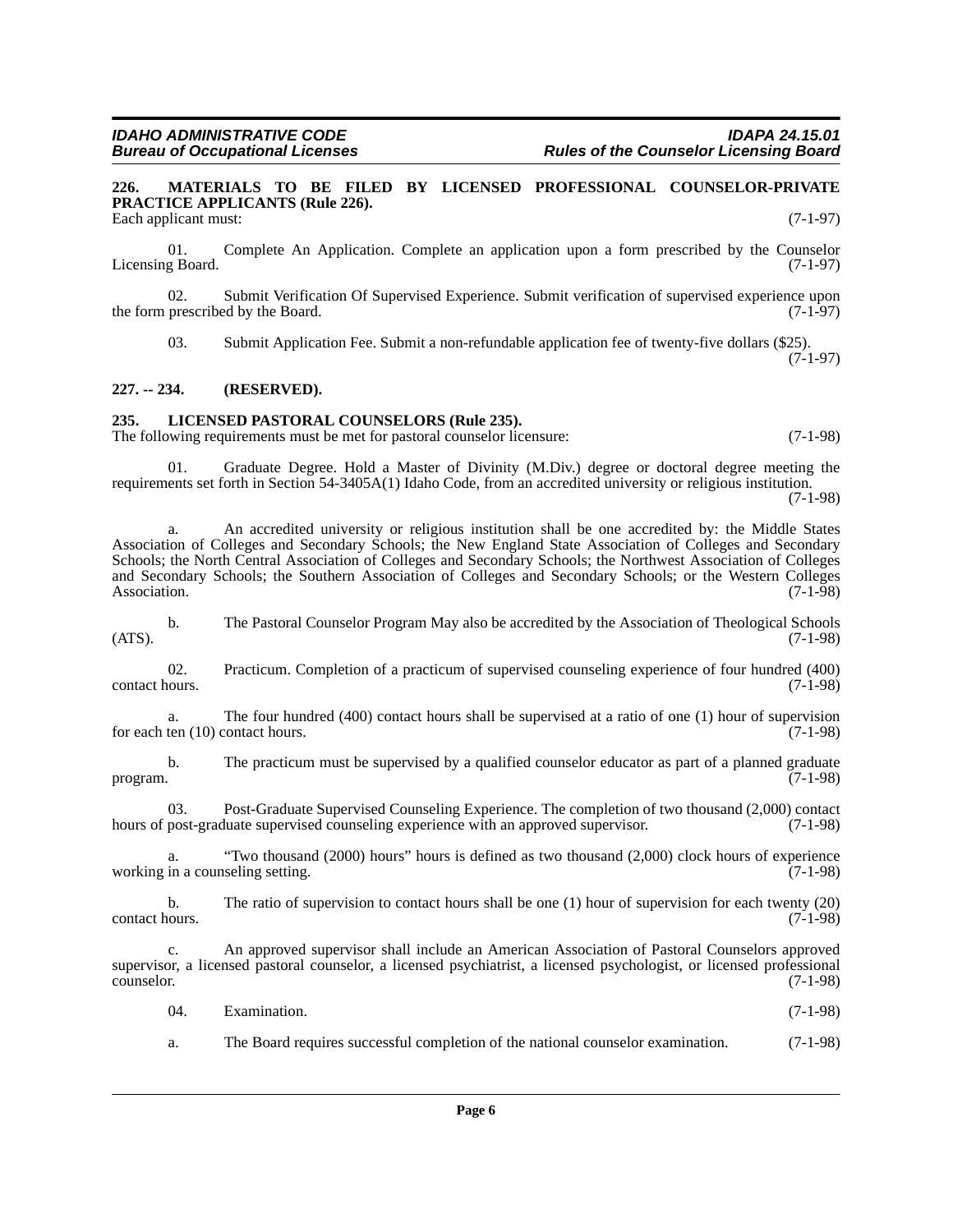#### <span id="page-5-0"></span>**226. MATERIALS TO BE FILED BY LICENSED PROFESSIONAL COUNSELOR-PRIVATE PRACTICE APPLICANTS (Rule 226).** Each applicant must: (7-1-97)

01. Complete An Application. Complete an application upon a form prescribed by the Counselor Licensing Board. (7-1-97)

02. Submit Verification Of Supervised Experience. Submit verification of supervised experience upon prescribed by the Board. (7-1-97) the form prescribed by the Board.

03. Submit Application Fee. Submit a non-refundable application fee of twenty-five dollars (\$25). (7-1-97)

**227. -- 234. (RESERVED).**

#### <span id="page-5-1"></span>**235. LICENSED PASTORAL COUNSELORS (Rule 235).**

The following requirements must be met for pastoral counselor licensure: (7-1-98)

01. Graduate Degree. Hold a Master of Divinity (M.Div.) degree or doctoral degree meeting the requirements set forth in Section 54-3405A(1) Idaho Code, from an accredited university or religious institution.

(7-1-98)

a. An accredited university or religious institution shall be one accredited by: the Middle States Association of Colleges and Secondary Schools; the New England State Association of Colleges and Secondary Schools; the North Central Association of Colleges and Secondary Schools; the Northwest Association of Colleges and Secondary Schools; the Southern Association of Colleges and Secondary Schools; or the Western Colleges Association. (7-1-98)

b. The Pastoral Counselor Program May also be accredited by the Association of Theological Schools  $(ATS)$ .  $(7-1-98)$ 

02. Practicum. Completion of a practicum of supervised counseling experience of four hundred (400) contact hours.

a. The four hundred (400) contact hours shall be supervised at a ratio of one (1) hour of supervision ten (10) contact hours. (7-1-98) for each ten  $(10)$  contact hours.

b. The practicum must be supervised by a qualified counselor educator as part of a planned graduate program. (7-1-98)

03. Post-Graduate Supervised Counseling Experience. The completion of two thousand (2,000) contact hours of post-graduate supervised counseling experience with an approved supervisor. (7-1-98)

a. "Two thousand (2000) hours" hours is defined as two thousand (2,000) clock hours of experience in a counseling setting. (7-1-98) working in a counseling setting.

b. The ratio of supervision to contact hours shall be one (1) hour of supervision for each twenty (20) contact hours. (7-1-98)

c. An approved supervisor shall include an American Association of Pastoral Counselors approved supervisor, a licensed pastoral counselor, a licensed psychiatrist, a licensed psychologist, or licensed professional counselor. (7-1-98)

| 04. | Examination. | $(7-1-98)$ |
|-----|--------------|------------|
|     |              |            |

a. The Board requires successful completion of the national counselor examination. (7-1-98)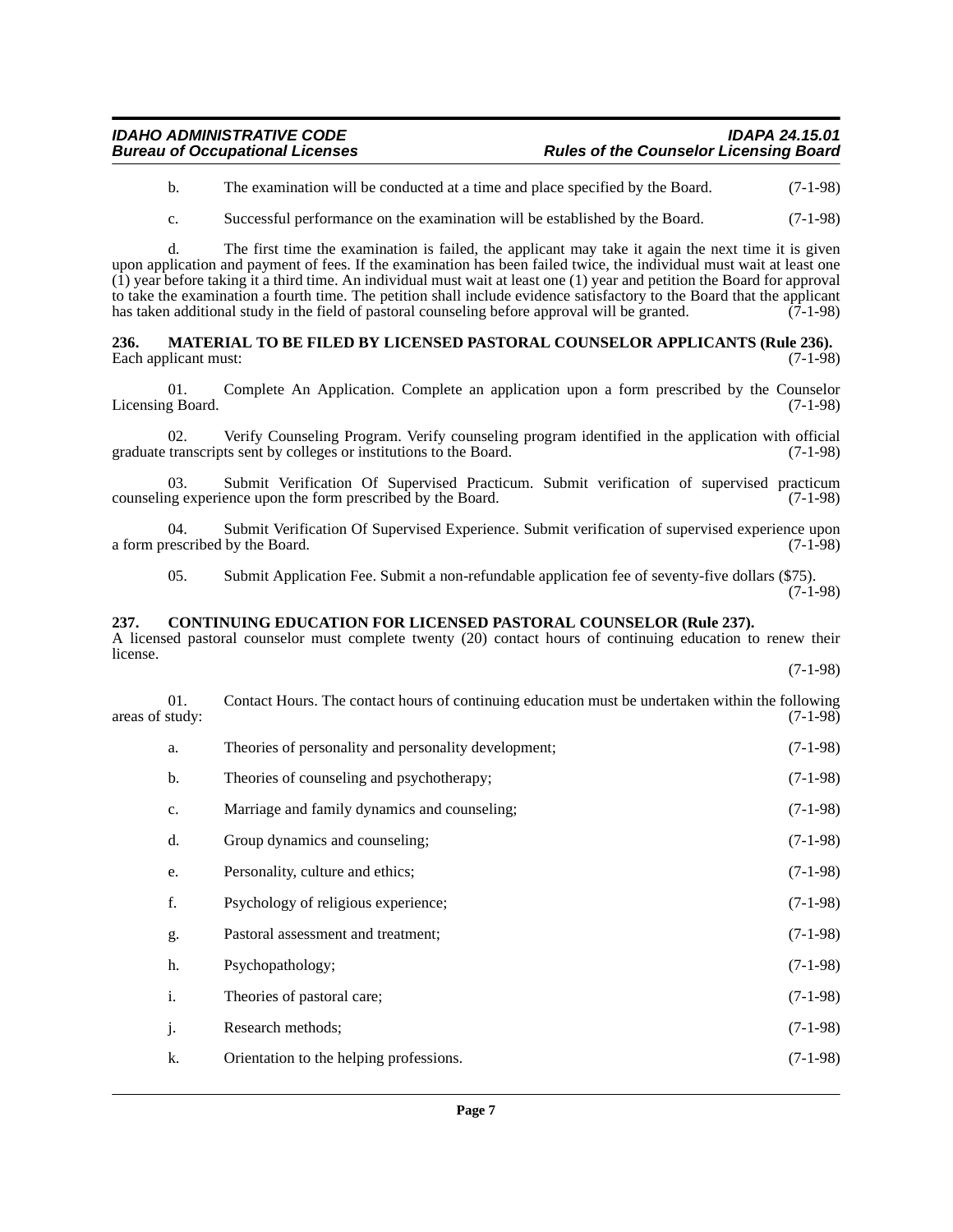#### *IDAHO ADMINISTRATIVE CODE IDAPA 24.15.01* **Rules of the Counselor Licensing Board**

b. The examination will be conducted at a time and place specified by the Board. (7-1-98)

c. Successful performance on the examination will be established by the Board. (7-1-98)

d. The first time the examination is failed, the applicant may take it again the next time it is given upon application and payment of fees. If the examination has been failed twice, the individual must wait at least one (1) year before taking it a third time. An individual must wait at least one (1) year and petition the Board for approval to take the examination a fourth time. The petition shall include evidence satisfactory to the Board that the applicant has taken additional study in the field of pastoral counseling before approval will be granted. (7-1-98)

<span id="page-6-0"></span>**236. MATERIAL TO BE FILED BY LICENSED PASTORAL COUNSELOR APPLICANTS (Rule 236).**  Each applicant must:

01. Complete An Application. Complete an application upon a form prescribed by the Counselor Licensing Board. (7-1-98)

02. Verify Counseling Program. Verify counseling program identified in the application with official transcripts sent by colleges or institutions to the Board. (7-1-98) graduate transcripts sent by colleges or institutions to the Board.

03. Submit Verification Of Supervised Practicum. Submit verification of supervised practicum of experience upon the form prescribed by the Board. (7-1-98) counseling experience upon the form prescribed by the Board.

04. Submit Verification Of Supervised Experience. Submit verification of supervised experience upon rescribed by the Board. (7-1-98) a form prescribed by the Board.

05. Submit Application Fee. Submit a non-refundable application fee of seventy-five dollars (\$75). (7-1-98)

#### <span id="page-6-1"></span>**237. CONTINUING EDUCATION FOR LICENSED PASTORAL COUNSELOR (Rule 237).**

A licensed pastoral counselor must complete twenty (20) contact hours of continuing education to renew their license. (7-1-98)

|                 | Contact Hours. The contact hours of continuing education must be undertaken within the following |
|-----------------|--------------------------------------------------------------------------------------------------|
| areas of study: | $(7-1-98)$                                                                                       |

| a. | Theories of personality and personality development; | $(7-1-98)$ |
|----|------------------------------------------------------|------------|
| b. | Theories of counseling and psychotherapy;            | $(7-1-98)$ |
| c. | Marriage and family dynamics and counseling;         | $(7-1-98)$ |
| d. | Group dynamics and counseling;                       | $(7-1-98)$ |
| e. | Personality, culture and ethics;                     | $(7-1-98)$ |
| f. | Psychology of religious experience;                  | $(7-1-98)$ |
| g. | Pastoral assessment and treatment;                   | $(7-1-98)$ |
| h. | Psychopathology;                                     | $(7-1-98)$ |
| i. | Theories of pastoral care;                           | $(7-1-98)$ |
| j. | Research methods;                                    | $(7-1-98)$ |
| k. | Orientation to the helping professions.              | $(7-1-98)$ |
|    |                                                      |            |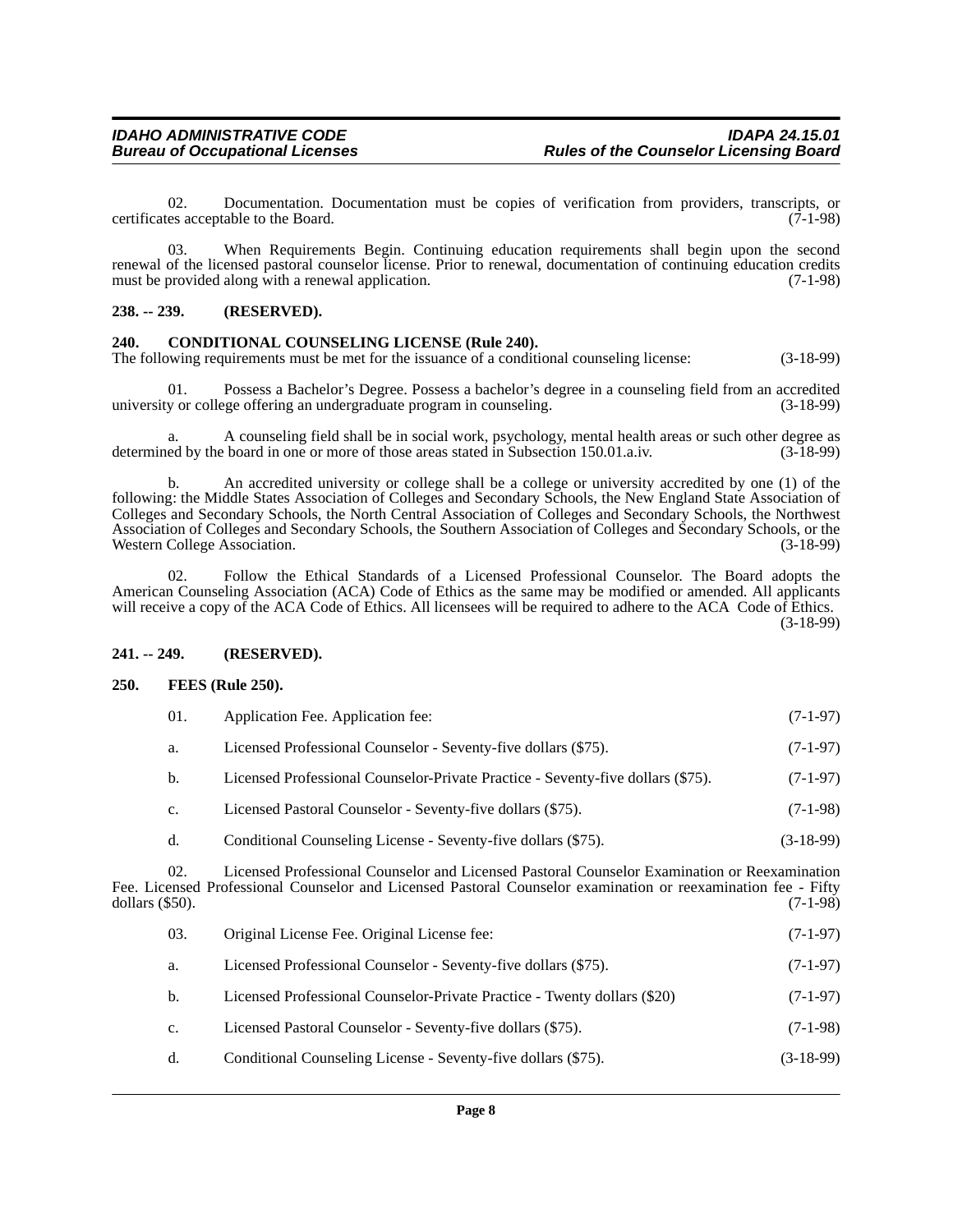02. Documentation. Documentation must be copies of verification from providers, transcripts, or es acceptable to the Board.  $(7-1-98)$ certificates acceptable to the Board.

03. When Requirements Begin. Continuing education requirements shall begin upon the second renewal of the licensed pastoral counselor license. Prior to renewal, documentation of continuing education credits<br>must be provided along with a renewal application. (7-1-98) must be provided along with a renewal application.

#### **238. -- 239. (RESERVED).**

#### <span id="page-7-0"></span>**240. CONDITIONAL COUNSELING LICENSE (Rule 240).**

The following requirements must be met for the issuance of a conditional counseling license: (3-18-99)

01. Possess a Bachelor's Degree. Possess a bachelor's degree in a counseling field from an accredited university or college offering an undergraduate program in counseling. (3-18-99)

a. A counseling field shall be in social work, psychology, mental health areas or such other degree as ed by the board in one or more of those areas stated in Subsection 150.01.a.iv. (3-18-99) determined by the board in one or more of those areas stated in Subsection 150.01.a.iv.

b. An accredited university or college shall be a college or university accredited by one (1) of the following: the Middle States Association of Colleges and Secondary Schools, the New England State Association of Colleges and Secondary Schools, the North Central Association of Colleges and Secondary Schools, the Northwest Association of Colleges and Secondary Schools, the Southern Association of Colleges and Secondary Schools, or the Western College Association. (3-18-99)

02. Follow the Ethical Standards of a Licensed Professional Counselor. The Board adopts the American Counseling Association (ACA) Code of Ethics as the same may be modified or amended. All applicants will receive a copy of the ACA Code of Ethics. All licensees will be required to adhere to the ACA Code of Ethics.

(3-18-99)

#### **241. -- 249. (RESERVED).**

#### <span id="page-7-1"></span>**250. FEES (Rule 250).**

| 01. | Application Fee. Application fee:                              | $(7-1-97)$ |
|-----|----------------------------------------------------------------|------------|
| a.  | Licensed Professional Counselor - Seventy-five dollars (\$75). | $(7-1-97)$ |

b. Licensed Professional Counselor-Private Practice - Seventy-five dollars (\$75). (7-1-97)

- c. Licensed Pastoral Counselor Seventy-five dollars (\$75). (7-1-98)
- d. Conditional Counseling License Seventy-five dollars (\$75). (3-18-99)

02. Licensed Professional Counselor and Licensed Pastoral Counselor Examination or Reexamination Fee. Licensed Professional Counselor and Licensed Pastoral Counselor examination or reexamination fee - Fifty dollars (\$50). dollars (\$50). (7-1-98)

| 03.         | Original License Fee. Original License fee:                              | $(7-1-97)$  |
|-------------|--------------------------------------------------------------------------|-------------|
| a.          | Licensed Professional Counselor - Seventy-five dollars (\$75).           | $(7-1-97)$  |
| b.          | Licensed Professional Counselor-Private Practice - Twenty dollars (\$20) | $(7-1-97)$  |
| $c_{\cdot}$ | Licensed Pastoral Counselor - Seventy-five dollars (\$75).               | $(7-1-98)$  |
| d.          | Conditional Counseling License - Seventy-five dollars (\$75).            | $(3-18-99)$ |
|             |                                                                          |             |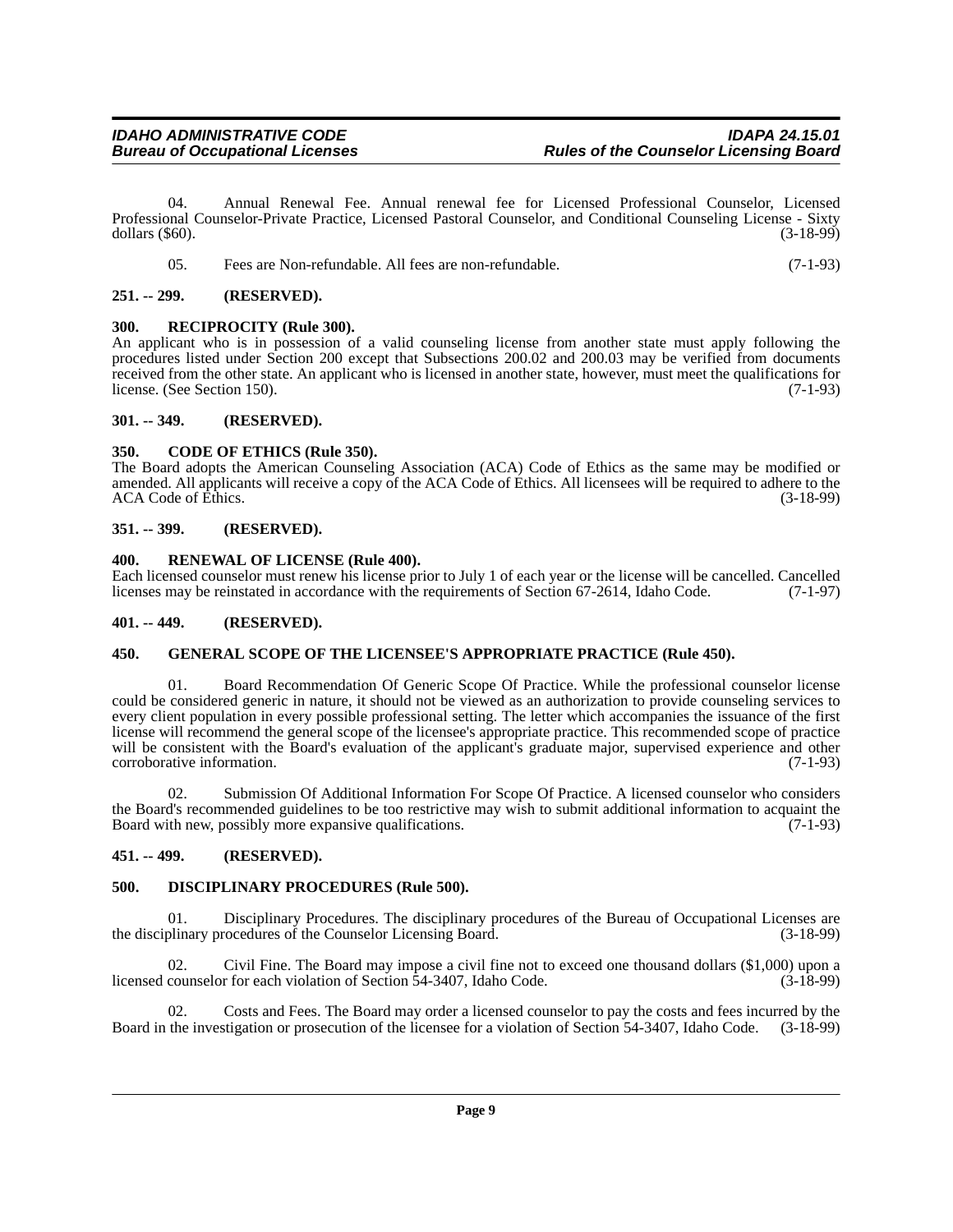04. Annual Renewal Fee. Annual renewal fee for Licensed Professional Counselor, Licensed Professional Counselor-Private Practice, Licensed Pastoral Counselor, and Conditional Counseling License - Sixty dollars (\$60). (3-18-99) dollars (\$60). (3-18-99)

|  | Fees are Non-refundable. All fees are non-refundable. | $(7-1-93)$ |
|--|-------------------------------------------------------|------------|
|--|-------------------------------------------------------|------------|

#### <span id="page-8-0"></span>**251. -- 299. (RESERVED).**

#### <span id="page-8-1"></span>**300. RECIPROCITY (Rule 300).**

An applicant who is in possession of a valid counseling license from another state must apply following the procedures listed under Section 200 except that Subsections 200.02 and 200.03 may be verified from documents received from the other state. An applicant who is licensed in another state, however, must meet the qualifications for license. (See Section 150). license. (See Section 150).

#### <span id="page-8-2"></span>**301. -- 349. (RESERVED).**

#### <span id="page-8-3"></span>**350. CODE OF ETHICS (Rule 350).**

The Board adopts the American Counseling Association (ACA) Code of Ethics as the same may be modified or amended. All applicants will receive a copy of the ACA Code of Ethics. All licensees will be required to adhere to the ACA Code of Ethics.

#### <span id="page-8-4"></span>**351. -- 399. (RESERVED).**

#### <span id="page-8-5"></span>**400. RENEWAL OF LICENSE (Rule 400).**

Each licensed counselor must renew his license prior to July 1 of each year or the license will be cancelled. Cancelled licenses may be reinstated in accordance with the requirements of Section 67-2614, Idaho Code. (7-1-97 licenses may be reinstated in accordance with the requirements of Section 67-2614, Idaho Code.

#### <span id="page-8-6"></span>**401. -- 449. (RESERVED).**

#### <span id="page-8-7"></span>**450. GENERAL SCOPE OF THE LICENSEE'S APPROPRIATE PRACTICE (Rule 450).**

Board Recommendation Of Generic Scope Of Practice. While the professional counselor license could be considered generic in nature, it should not be viewed as an authorization to provide counseling services to every client population in every possible professional setting. The letter which accompanies the issuance of the first license will recommend the general scope of the licensee's appropriate practice. This recommended scope of practice will be consistent with the Board's evaluation of the applicant's graduate major, supervised experience and other corroborative information. (7-1-93) corroborative information.

02. Submission Of Additional Information For Scope Of Practice. A licensed counselor who considers the Board's recommended guidelines to be too restrictive may wish to submit additional information to acquaint the Board with new, possibly more expansive qualifications. (7-1-93)

#### <span id="page-8-8"></span>**451. -- 499. (RESERVED).**

#### <span id="page-8-9"></span>**500. DISCIPLINARY PROCEDURES (Rule 500).**

01. Disciplinary Procedures. The disciplinary procedures of the Bureau of Occupational Licenses are plinary procedures of the Counselor Licensing Board. (3-18-99) the disciplinary procedures of the Counselor Licensing Board.

02. Civil Fine. The Board may impose a civil fine not to exceed one thousand dollars (\$1,000) upon a licensed counselor for each violation of Section 54-3407, Idaho Code. (3-18-99)

02. Costs and Fees. The Board may order a licensed counselor to pay the costs and fees incurred by the the investigation or prosecution of the licensee for a violation of Section 54-3407, Idaho Code. (3-18-99) Board in the investigation or prosecution of the licensee for a violation of Section 54-3407, Idaho Code.